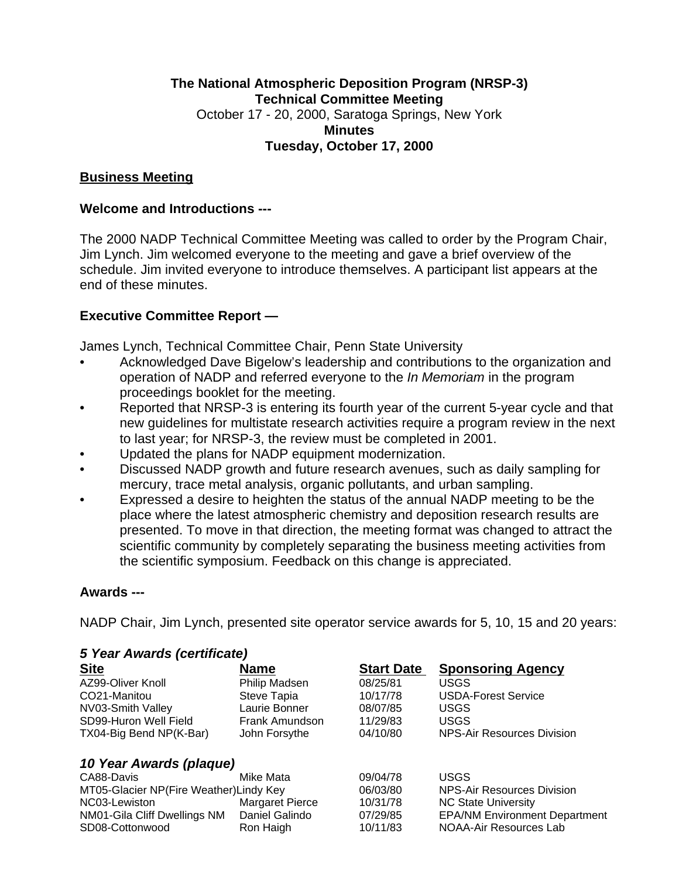## **The National Atmospheric Deposition Program (NRSP-3) Technical Committee Meeting** October 17 - 20, 2000, Saratoga Springs, New York **Minutes Tuesday, October 17, 2000**

### **Business Meeting**

### **Welcome and Introductions ---**

The 2000 NADP Technical Committee Meeting was called to order by the Program Chair, Jim Lynch. Jim welcomed everyone to the meeting and gave a brief overview of the schedule. Jim invited everyone to introduce themselves. A participant list appears at the end of these minutes.

## **Executive Committee Report —**

James Lynch, Technical Committee Chair, Penn State University

- Acknowledged Dave Bigelow's leadership and contributions to the organization and operation of NADP and referred everyone to the *In Memoriam* in the program proceedings booklet for the meeting.
- Reported that NRSP-3 is entering its fourth year of the current 5-year cycle and that new guidelines for multistate research activities require a program review in the next to last year; for NRSP-3, the review must be completed in 2001.
- Updated the plans for NADP equipment modernization.
- Discussed NADP growth and future research avenues, such as daily sampling for mercury, trace metal analysis, organic pollutants, and urban sampling.
- Expressed a desire to heighten the status of the annual NADP meeting to be the place where the latest atmospheric chemistry and deposition research results are presented. To move in that direction, the meeting format was changed to attract the scientific community by completely separating the business meeting activities from the scientific symposium. Feedback on this change is appreciated.

### **Awards ---**

NADP Chair, Jim Lynch, presented site operator service awards for 5, 10, 15 and 20 years:

| 5 Year Awards (certificate)             |                        |                   |                                      |  |  |  |
|-----------------------------------------|------------------------|-------------------|--------------------------------------|--|--|--|
| <b>Site</b>                             | <b>Name</b>            | <b>Start Date</b> | <b>Sponsoring Agency</b>             |  |  |  |
| AZ99-Oliver Knoll                       | Philip Madsen          | 08/25/81          | <b>USGS</b>                          |  |  |  |
| CO21-Manitou                            | Steve Tapia            | 10/17/78          | <b>USDA-Forest Service</b>           |  |  |  |
| NV03-Smith Valley                       | Laurie Bonner          | 08/07/85          | <b>USGS</b>                          |  |  |  |
| SD99-Huron Well Field                   | Frank Amundson         | 11/29/83          | <b>USGS</b>                          |  |  |  |
| TX04-Big Bend NP(K-Bar)                 | John Forsythe          | 04/10/80          | NPS-Air Resources Division           |  |  |  |
| 10 Year Awards (plaque)                 |                        |                   |                                      |  |  |  |
| CA88-Davis                              | Mike Mata              | 09/04/78          | <b>USGS</b>                          |  |  |  |
| MT05-Glacier NP(Fire Weather) Lindy Key |                        | 06/03/80          | <b>NPS-Air Resources Division</b>    |  |  |  |
| NC03-Lewiston                           | <b>Margaret Pierce</b> | 10/31/78          | <b>NC State University</b>           |  |  |  |
| NM01-Gila Cliff Dwellings NM            | Daniel Galindo         | 07/29/85          | <b>EPA/NM Environment Department</b> |  |  |  |
| SD08-Cottonwood                         | Ron Haigh              | 10/11/83          | NOAA-Air Resources Lab               |  |  |  |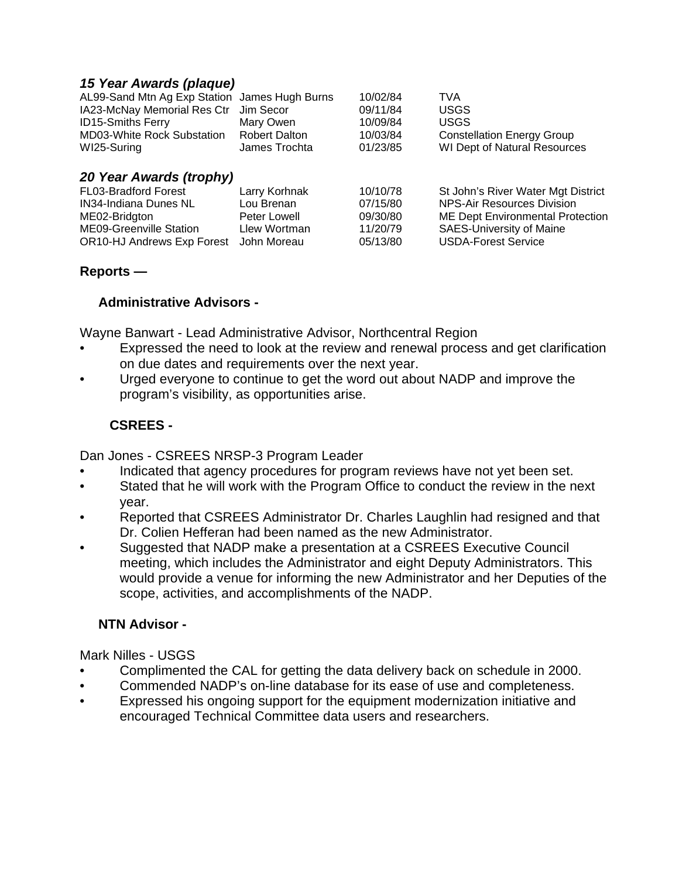### *15 Year Awards (plaque)*

| 20 Voor Awarde (tranhy)                       |                      |          |                                     |  |  |  |  |
|-----------------------------------------------|----------------------|----------|-------------------------------------|--|--|--|--|
| WI25-Suring                                   | James Trochta        | 01/23/85 | <b>WI Dept of Natural Resources</b> |  |  |  |  |
| <b>MD03-White Rock Substation</b>             | <b>Robert Dalton</b> | 10/03/84 | <b>Constellation Energy Group</b>   |  |  |  |  |
| <b>ID15-Smiths Ferry</b>                      | Mary Owen            | 10/09/84 | <b>USGS</b>                         |  |  |  |  |
| IA23-McNay Memorial Res Ctr Jim Secor         |                      | 09/11/84 | <b>USGS</b>                         |  |  |  |  |
| AL99-Sand Mtn Ag Exp Station James Hugh Burns |                      | 10/02/84 | <b>TVA</b>                          |  |  |  |  |

| $\mathcal{L}$ . For A wards (a Opiny) |               |          |                                         |  |  |  |
|---------------------------------------|---------------|----------|-----------------------------------------|--|--|--|
| <b>FL03-Bradford Forest</b>           | Larry Korhnak | 10/10/78 | St John's River Water Mgt District      |  |  |  |
| <b>IN34-Indiana Dunes NL</b>          | Lou Brenan    | 07/15/80 | NPS-Air Resources Division              |  |  |  |
| ME02-Bridgton                         | Peter Lowell  | 09/30/80 | <b>ME Dept Environmental Protection</b> |  |  |  |
| <b>ME09-Greenville Station</b>        | Llew Wortman  | 11/20/79 | <b>SAES-University of Maine</b>         |  |  |  |
| <b>OR10-HJ Andrews Exp Forest</b>     | ⊟ John Moreau | 05/13/80 | USDA-Forest Service                     |  |  |  |

### **Reports —**

### **Administrative Advisors -**

Wayne Banwart - Lead Administrative Advisor, Northcentral Region

- Expressed the need to look at the review and renewal process and get clarification on due dates and requirements over the next year.
- Urged everyone to continue to get the word out about NADP and improve the program's visibility, as opportunities arise.

## **CSREES -**

Dan Jones - CSREES NRSP-3 Program Leader

- Indicated that agency procedures for program reviews have not yet been set.
- Stated that he will work with the Program Office to conduct the review in the next year.
- Reported that CSREES Administrator Dr. Charles Laughlin had resigned and that Dr. Colien Hefferan had been named as the new Administrator.
- Suggested that NADP make a presentation at a CSREES Executive Council meeting, which includes the Administrator and eight Deputy Administrators. This would provide a venue for informing the new Administrator and her Deputies of the scope, activities, and accomplishments of the NADP.

## **NTN Advisor -**

Mark Nilles - USGS

- Complimented the CAL for getting the data delivery back on schedule in 2000.
- Commended NADP's on-line database for its ease of use and completeness.
- Expressed his ongoing support for the equipment modernization initiative and encouraged Technical Committee data users and researchers.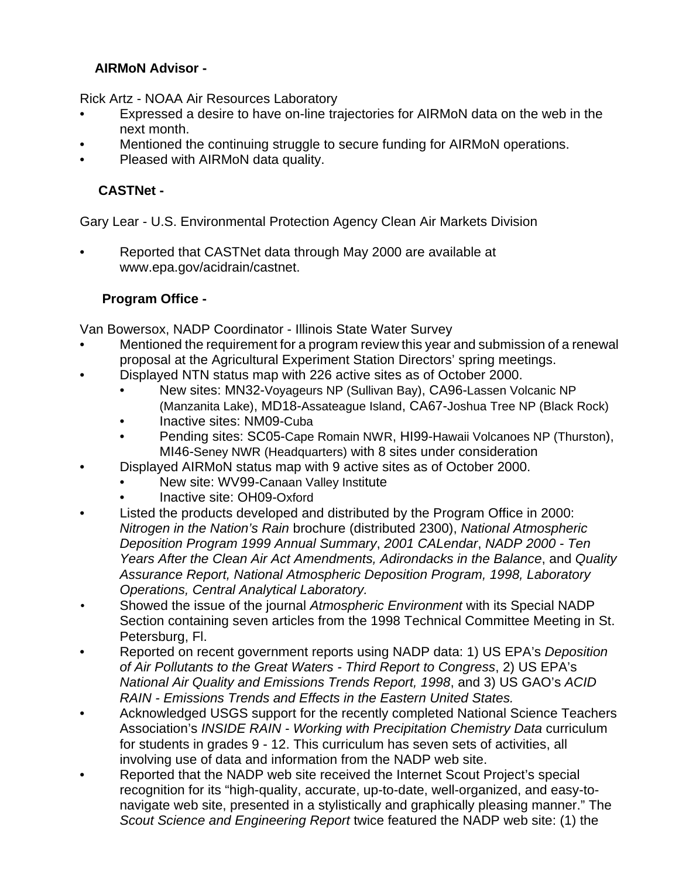## **AIRMoN Advisor -**

Rick Artz - NOAA Air Resources Laboratory

- Expressed a desire to have on-line trajectories for AIRMoN data on the web in the next month.
- Mentioned the continuing struggle to secure funding for AIRMoN operations.
- Pleased with AIRMoN data quality.

# **CASTNet -**

Gary Lear - U.S. Environmental Protection Agency Clean Air Markets Division

• Reported that CASTNet data through May 2000 are available at www.epa.gov/acidrain/castnet.

## **Program Office -**

Van Bowersox, NADP Coordinator - Illinois State Water Survey

- Mentioned the requirement for a program review this year and submission of a renewal proposal at the Agricultural Experiment Station Directors' spring meetings.
- Displayed NTN status map with 226 active sites as of October 2000.
	- New sites: MN32-Voyageurs NP (Sullivan Bay), CA96-Lassen Volcanic NP (Manzanita Lake), MD18-Assateague Island, CA67-Joshua Tree NP (Black Rock)
	- Inactive sites: NM09-Cuba
	- Pending sites: SC05-Cape Romain NWR, HI99-Hawaii Volcanoes NP (Thurston), MI46-Seney NWR (Headquarters) with 8 sites under consideration
- Displayed AIRMoN status map with 9 active sites as of October 2000.
	- New site: WV99-Canaan Valley Institute
	- Inactive site: OH09-Oxford
- Listed the products developed and distributed by the Program Office in 2000: *Nitrogen in the Nation's Rain* brochure (distributed 2300), *National Atmospheric Deposition Program 1999 Annual Summary*, *2001 CALendar*, *NADP 2000 - Ten Years After the Clean Air Act Amendments, Adirondacks in the Balance*, and *Quality Assurance Report, National Atmospheric Deposition Program, 1998, Laboratory Operations, Central Analytical Laboratory.*
- *•* Showed the issue of the journal *Atmospheric Environment* with its Special NADP Section containing seven articles from the 1998 Technical Committee Meeting in St. Petersburg, Fl.
- Reported on recent government reports using NADP data: 1) US EPA's *Deposition of Air Pollutants to the Great Waters - Third Report to Congress*, 2) US EPA's *National Air Quality and Emissions Trends Report, 1998*, and 3) US GAO's *ACID RAIN - Emissions Trends and Effects in the Eastern United States.*
- Acknowledged USGS support for the recently completed National Science Teachers Association's *INSIDE RAIN - Working with Precipitation Chemistry Data* curriculum for students in grades 9 - 12. This curriculum has seven sets of activities, all involving use of data and information from the NADP web site.
- Reported that the NADP web site received the Internet Scout Project's special recognition for its "high-quality, accurate, up-to-date, well-organized, and easy-tonavigate web site, presented in a stylistically and graphically pleasing manner." The *Scout Science and Engineering Report* twice featured the NADP web site: (1) the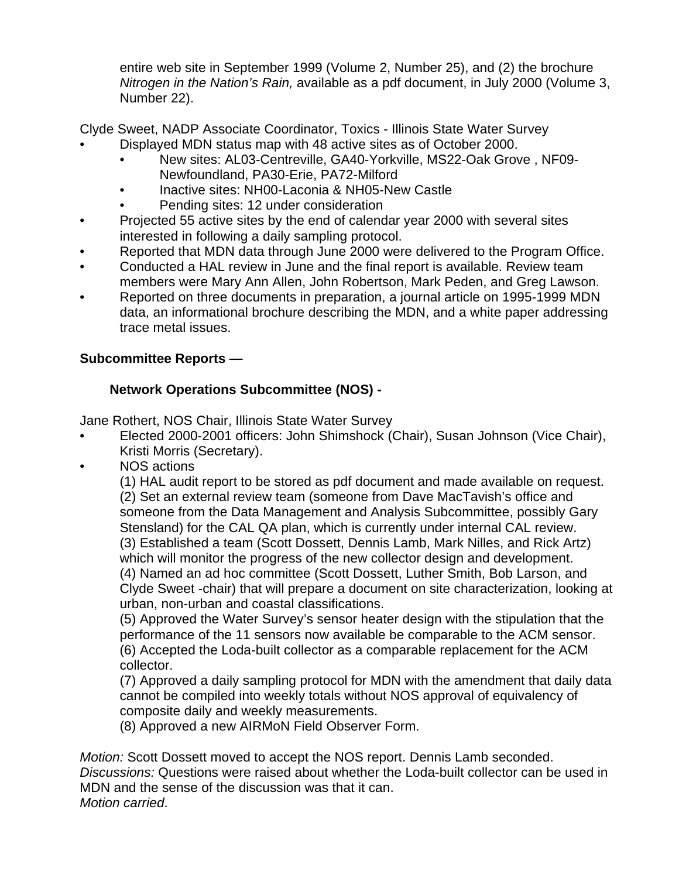entire web site in September 1999 (Volume 2, Number 25), and (2) the brochure *Nitrogen in the Nation's Rain,* available as a pdf document, in July 2000 (Volume 3, Number 22).

Clyde Sweet, NADP Associate Coordinator, Toxics - Illinois State Water Survey

- Displayed MDN status map with 48 active sites as of October 2000.
	- New sites: AL03-Centreville, GA40-Yorkville, MS22-Oak Grove , NF09- Newfoundland, PA30-Erie, PA72-Milford
	- Inactive sites: NH00-Laconia & NH05-New Castle
	- Pending sites: 12 under consideration
- Projected 55 active sites by the end of calendar year 2000 with several sites interested in following a daily sampling protocol.
- Reported that MDN data through June 2000 were delivered to the Program Office.
- Conducted a HAL review in June and the final report is available. Review team members were Mary Ann Allen, John Robertson, Mark Peden, and Greg Lawson.
- Reported on three documents in preparation, a journal article on 1995-1999 MDN data, an informational brochure describing the MDN, and a white paper addressing trace metal issues.

# **Subcommittee Reports —**

## **Network Operations Subcommittee (NOS) -**

Jane Rothert, NOS Chair, Illinois State Water Survey

- Elected 2000-2001 officers: John Shimshock (Chair), Susan Johnson (Vice Chair), Kristi Morris (Secretary).
- NOS actions

(1) HAL audit report to be stored as pdf document and made available on request. (2) Set an external review team (someone from Dave MacTavish's office and someone from the Data Management and Analysis Subcommittee, possibly Gary Stensland) for the CAL QA plan, which is currently under internal CAL review. (3) Established a team (Scott Dossett, Dennis Lamb, Mark Nilles, and Rick Artz) which will monitor the progress of the new collector design and development. (4) Named an ad hoc committee (Scott Dossett, Luther Smith, Bob Larson, and Clyde Sweet -chair) that will prepare a document on site characterization, looking at urban, non-urban and coastal classifications.

(5) Approved the Water Survey's sensor heater design with the stipulation that the performance of the 11 sensors now available be comparable to the ACM sensor. (6) Accepted the Loda-built collector as a comparable replacement for the ACM collector.

(7) Approved a daily sampling protocol for MDN with the amendment that daily data cannot be compiled into weekly totals without NOS approval of equivalency of composite daily and weekly measurements.

(8) Approved a new AIRMoN Field Observer Form.

*Motion:* Scott Dossett moved to accept the NOS report. Dennis Lamb seconded. *Discussions:* Questions were raised about whether the Loda-built collector can be used in MDN and the sense of the discussion was that it can. *Motion carried*.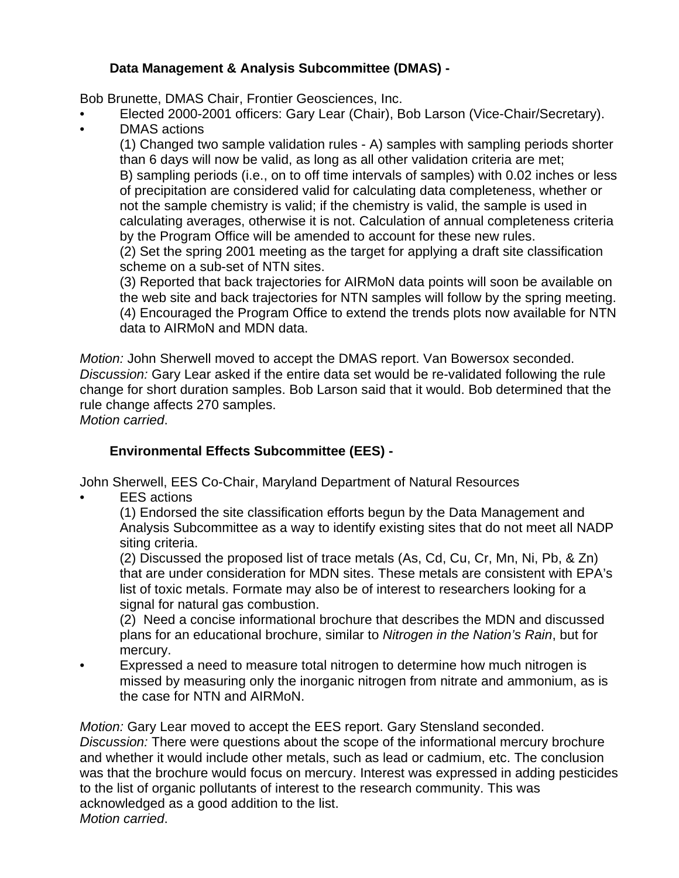## **Data Management & Analysis Subcommittee (DMAS) -**

Bob Brunette, DMAS Chair, Frontier Geosciences, Inc.

- Elected 2000-2001 officers: Gary Lear (Chair), Bob Larson (Vice-Chair/Secretary).
- DMAS actions

(1) Changed two sample validation rules - A) samples with sampling periods shorter than 6 days will now be valid, as long as all other validation criteria are met; B) sampling periods (i.e., on to off time intervals of samples) with 0.02 inches or less of precipitation are considered valid for calculating data completeness, whether or not the sample chemistry is valid; if the chemistry is valid, the sample is used in calculating averages, otherwise it is not. Calculation of annual completeness criteria by the Program Office will be amended to account for these new rules.

(2) Set the spring 2001 meeting as the target for applying a draft site classification scheme on a sub-set of NTN sites.

(3) Reported that back trajectories for AIRMoN data points will soon be available on the web site and back trajectories for NTN samples will follow by the spring meeting. (4) Encouraged the Program Office to extend the trends plots now available for NTN data to AIRMoN and MDN data.

*Motion:* John Sherwell moved to accept the DMAS report. Van Bowersox seconded. *Discussion:* Gary Lear asked if the entire data set would be re-validated following the rule change for short duration samples. Bob Larson said that it would. Bob determined that the rule change affects 270 samples.

*Motion carried*.

## **Environmental Effects Subcommittee (EES) -**

John Sherwell, EES Co-Chair, Maryland Department of Natural Resources

**EES** actions

(1) Endorsed the site classification efforts begun by the Data Management and Analysis Subcommittee as a way to identify existing sites that do not meet all NADP siting criteria.

(2) Discussed the proposed list of trace metals (As, Cd, Cu, Cr, Mn, Ni, Pb, & Zn) that are under consideration for MDN sites. These metals are consistent with EPA's list of toxic metals. Formate may also be of interest to researchers looking for a signal for natural gas combustion.

(2) Need a concise informational brochure that describes the MDN and discussed plans for an educational brochure, similar to *Nitrogen in the Nation's Rain*, but for mercury.

• Expressed a need to measure total nitrogen to determine how much nitrogen is missed by measuring only the inorganic nitrogen from nitrate and ammonium, as is the case for NTN and AIRMoN.

*Motion:* Gary Lear moved to accept the EES report. Gary Stensland seconded. *Discussion:* There were questions about the scope of the informational mercury brochure and whether it would include other metals, such as lead or cadmium, etc. The conclusion was that the brochure would focus on mercury. Interest was expressed in adding pesticides to the list of organic pollutants of interest to the research community. This was acknowledged as a good addition to the list. *Motion carried*.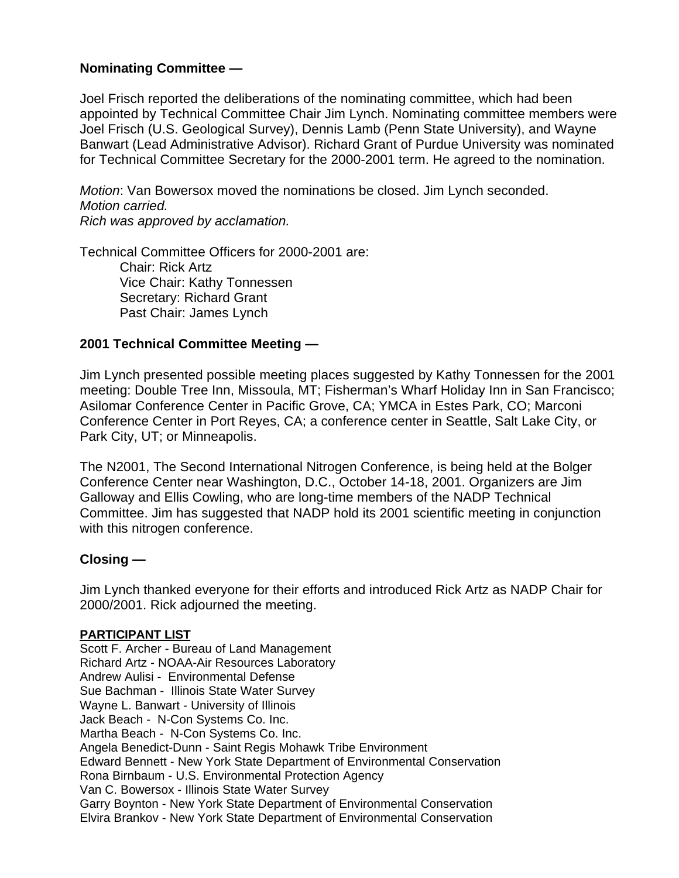## **Nominating Committee —**

Joel Frisch reported the deliberations of the nominating committee, which had been appointed by Technical Committee Chair Jim Lynch. Nominating committee members were Joel Frisch (U.S. Geological Survey), Dennis Lamb (Penn State University), and Wayne Banwart (Lead Administrative Advisor). Richard Grant of Purdue University was nominated for Technical Committee Secretary for the 2000-2001 term. He agreed to the nomination.

*Motion*: Van Bowersox moved the nominations be closed. Jim Lynch seconded. *Motion carried. Rich was approved by acclamation.*

Technical Committee Officers for 2000-2001 are: Chair: Rick Artz Vice Chair: Kathy Tonnessen Secretary: Richard Grant Past Chair: James Lynch

### **2001 Technical Committee Meeting —**

Jim Lynch presented possible meeting places suggested by Kathy Tonnessen for the 2001 meeting: Double Tree Inn, Missoula, MT; Fisherman's Wharf Holiday Inn in San Francisco; Asilomar Conference Center in Pacific Grove, CA; YMCA in Estes Park, CO; Marconi Conference Center in Port Reyes, CA; a conference center in Seattle, Salt Lake City, or Park City, UT; or Minneapolis.

The N2001, The Second International Nitrogen Conference, is being held at the Bolger Conference Center near Washington, D.C., October 14-18, 2001. Organizers are Jim Galloway and Ellis Cowling, who are long-time members of the NADP Technical Committee. Jim has suggested that NADP hold its 2001 scientific meeting in conjunction with this nitrogen conference.

#### **Closing —**

Jim Lynch thanked everyone for their efforts and introduced Rick Artz as NADP Chair for 2000/2001. Rick adjourned the meeting.

#### **PARTICIPANT LIST**

Scott F. Archer - Bureau of Land Management Richard Artz - NOAA-Air Resources Laboratory Andrew Aulisi - Environmental Defense Sue Bachman - Illinois State Water Survey Wayne L. Banwart - University of Illinois Jack Beach - N-Con Systems Co. Inc. Martha Beach - N-Con Systems Co. Inc. Angela Benedict-Dunn - Saint Regis Mohawk Tribe Environment Edward Bennett - New York State Department of Environmental Conservation Rona Birnbaum - U.S. Environmental Protection Agency Van C. Bowersox - Illinois State Water Survey Garry Boynton - New York State Department of Environmental Conservation Elvira Brankov - New York State Department of Environmental Conservation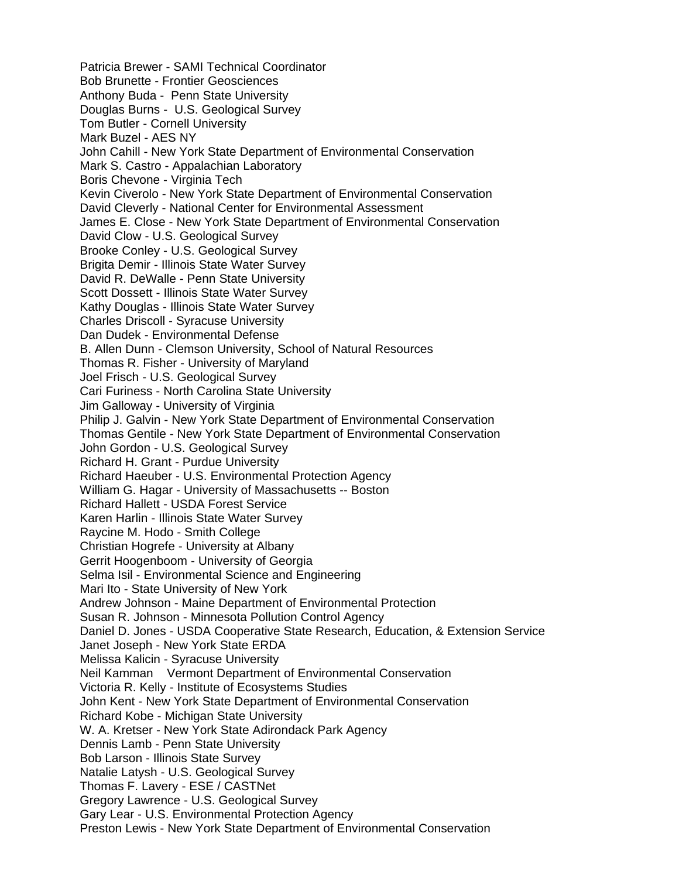Patricia Brewer - SAMI Technical Coordinator Bob Brunette - Frontier Geosciences Anthony Buda - Penn State University Douglas Burns - U.S. Geological Survey Tom Butler - Cornell University Mark Buzel - AES NY John Cahill - New York State Department of Environmental Conservation Mark S. Castro - Appalachian Laboratory Boris Chevone - Virginia Tech Kevin Civerolo - New York State Department of Environmental Conservation David Cleverly - National Center for Environmental Assessment James E. Close - New York State Department of Environmental Conservation David Clow - U.S. Geological Survey Brooke Conley - U.S. Geological Survey Brigita Demir - Illinois State Water Survey David R. DeWalle - Penn State University Scott Dossett - Illinois State Water Survey Kathy Douglas - Illinois State Water Survey Charles Driscoll - Syracuse University Dan Dudek - Environmental Defense B. Allen Dunn - Clemson University, School of Natural Resources Thomas R. Fisher - University of Maryland Joel Frisch - U.S. Geological Survey Cari Furiness - North Carolina State University Jim Galloway - University of Virginia Philip J. Galvin - New York State Department of Environmental Conservation Thomas Gentile - New York State Department of Environmental Conservation John Gordon - U.S. Geological Survey Richard H. Grant - Purdue University Richard Haeuber - U.S. Environmental Protection Agency William G. Hagar - University of Massachusetts -- Boston Richard Hallett - USDA Forest Service Karen Harlin - Illinois State Water Survey Raycine M. Hodo - Smith College Christian Hogrefe - University at Albany Gerrit Hoogenboom - University of Georgia Selma Isil - Environmental Science and Engineering Mari Ito - State University of New York Andrew Johnson - Maine Department of Environmental Protection Susan R. Johnson - Minnesota Pollution Control Agency Daniel D. Jones - USDA Cooperative State Research, Education, & Extension Service Janet Joseph - New York State ERDA Melissa Kalicin - Syracuse University Neil Kamman Vermont Department of Environmental Conservation Victoria R. Kelly - Institute of Ecosystems Studies John Kent - New York State Department of Environmental Conservation Richard Kobe - Michigan State University W. A. Kretser - New York State Adirondack Park Agency Dennis Lamb - Penn State University Bob Larson - Illinois State Survey Natalie Latysh - U.S. Geological Survey Thomas F. Lavery - ESE / CASTNet Gregory Lawrence - U.S. Geological Survey Gary Lear - U.S. Environmental Protection Agency Preston Lewis - New York State Department of Environmental Conservation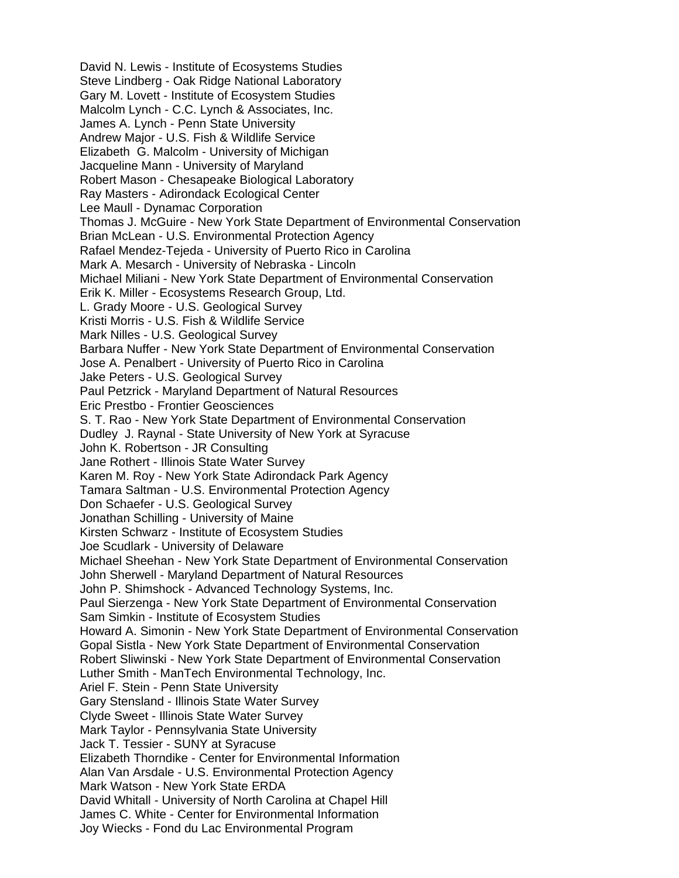David N. Lewis - Institute of Ecosystems Studies Steve Lindberg - Oak Ridge National Laboratory Gary M. Lovett - Institute of Ecosystem Studies Malcolm Lynch - C.C. Lynch & Associates, Inc. James A. Lynch - Penn State University Andrew Major - U.S. Fish & Wildlife Service Elizabeth G. Malcolm - University of Michigan Jacqueline Mann - University of Maryland Robert Mason - Chesapeake Biological Laboratory Ray Masters - Adirondack Ecological Center Lee Maull - Dynamac Corporation Thomas J. McGuire - New York State Department of Environmental Conservation Brian McLean - U.S. Environmental Protection Agency Rafael Mendez-Tejeda - University of Puerto Rico in Carolina Mark A. Mesarch - University of Nebraska - Lincoln Michael Miliani - New York State Department of Environmental Conservation Erik K. Miller - Ecosystems Research Group, Ltd. L. Grady Moore - U.S. Geological Survey Kristi Morris - U.S. Fish & Wildlife Service Mark Nilles - U.S. Geological Survey Barbara Nuffer - New York State Department of Environmental Conservation Jose A. Penalbert - University of Puerto Rico in Carolina Jake Peters - U.S. Geological Survey Paul Petzrick - Maryland Department of Natural Resources Eric Prestbo - Frontier Geosciences S. T. Rao - New York State Department of Environmental Conservation Dudley J. Raynal - State University of New York at Syracuse John K. Robertson - JR Consulting Jane Rothert - Illinois State Water Survey Karen M. Roy - New York State Adirondack Park Agency Tamara Saltman - U.S. Environmental Protection Agency Don Schaefer - U.S. Geological Survey Jonathan Schilling - University of Maine Kirsten Schwarz - Institute of Ecosystem Studies Joe Scudlark - University of Delaware Michael Sheehan - New York State Department of Environmental Conservation John Sherwell - Maryland Department of Natural Resources John P. Shimshock - Advanced Technology Systems, Inc. Paul Sierzenga - New York State Department of Environmental Conservation Sam Simkin - Institute of Ecosystem Studies Howard A. Simonin - New York State Department of Environmental Conservation Gopal Sistla - New York State Department of Environmental Conservation Robert Sliwinski - New York State Department of Environmental Conservation Luther Smith - ManTech Environmental Technology, Inc. Ariel F. Stein - Penn State University Gary Stensland - Illinois State Water Survey Clyde Sweet - Illinois State Water Survey Mark Taylor - Pennsylvania State University Jack T. Tessier - SUNY at Syracuse Elizabeth Thorndike - Center for Environmental Information Alan Van Arsdale - U.S. Environmental Protection Agency Mark Watson - New York State ERDA David Whitall - University of North Carolina at Chapel Hill James C. White - Center for Environmental Information Joy Wiecks - Fond du Lac Environmental Program